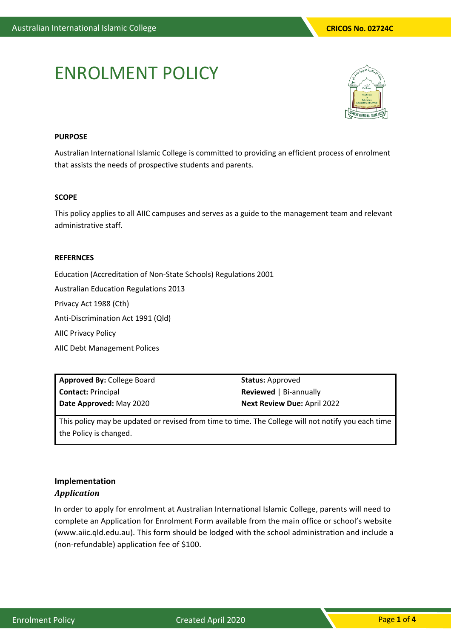# ENROLMENT POLICY



### **PURPOSE**

Australian International Islamic College is committed to providing an efficient process of enrolment that assists the needs of prospective students and parents.

#### **SCOPE**

This policy applies to all AIIC campuses and serves as a guide to the management team and relevant administrative staff.

#### **REFERNCES**

Education (Accreditation of Non-State Schools) Regulations 2001

Australian Education Regulations 2013

Privacy Act 1988 (Cth)

Anti-Discrimination Act 1991 (Qld)

AIIC Privacy Policy

AIIC Debt Management Polices

**Approved By:** College Board **Contact:** Principal **Date Approved:** May 2020

**Status:** Approved **Reviewed** | Bi-annually **Next Review Due:** April 2022

This policy may be updated or revised from time to time. The College will not notify you each time the Policy is changed.

## **Implementation**  *Application*

In order to apply for enrolment at Australian International Islamic College, parents will need to complete an Application for Enrolment Form available from the main office or school's website (www.aiic.qld.edu.au). This form should be lodged with the school administration and include a (non-refundable) application fee of \$100.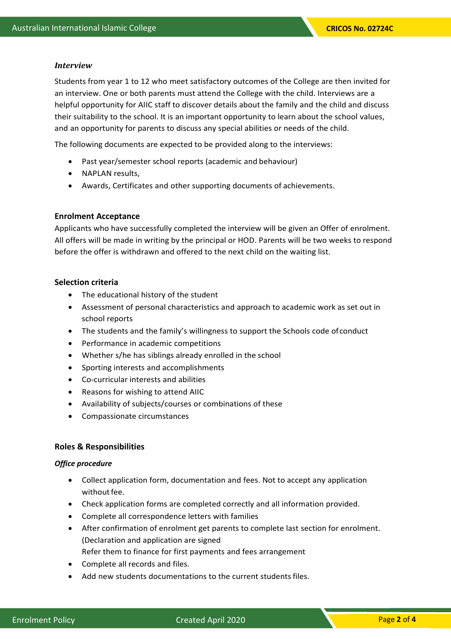#### *Interview*

Students from year 1 to 12 who meet satisfactory outcomes of the College are then invited for an interview. One or both parents must attend the College with the child. Interviews are a helpful opportunity for AIIC staff to discover details about the family and the child and discuss their suitability to the school. It is an important opportunity to learn about the school values, and an opportunity for parents to discuss any special abilities or needs of the child.

The following documents are expected to be provided along to the interviews:

- Past year/semester school reports (academic and behaviour)
- NAPLAN results,
- Awards, Certificates and other supporting documents of achievements.

## **Enrolment Acceptance**

Applicants who have successfully completed the interview will be given an Offer of enrolment. All offers will be made in writing by the principal or HOD. Parents will be two weeks to respond before the offer is withdrawn and offered to the next child on the waiting list.

## **Selection criteria**

- The educational history of the student
- Assessment of personal characteristics and approach to academic work as set out in school reports
- The students and the family's willingness to support the Schools code ofconduct
- Performance in academic competitions
- Whether s/he has siblings already enrolled in the school
- Sporting interests and accomplishments
- Co-curricular interests and abilities
- Reasons for wishing to attend AIIC
- Availability of subjects/courses or combinations of these
- Compassionate circumstances

## **Roles & Responsibilities**

## *Office procedure*

- Collect application form, documentation and fees. Not to accept any application without fee.
- Check application forms are completed correctly and all information provided.
- Complete all correspondence letters with families
- After confirmation of enrolment get parents to complete last section for enrolment. (Declaration and application are signed Refer them to finance for first payments and fees arrangement
- Complete all records and files.
- Add new students documentations to the current students files.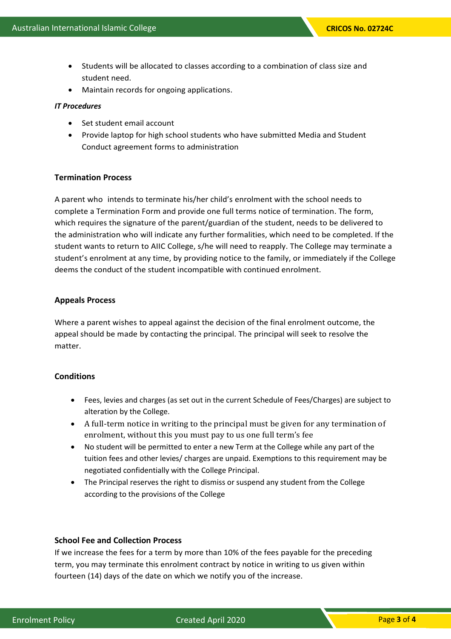- Students will be allocated to classes according to a combination of class size and student need.
- Maintain records for ongoing applications.

#### *IT Procedures*

- Set student email account
- Provide laptop for high school students who have submitted Media and Student Conduct agreement forms to administration

#### **Termination Process**

A parent who intends to terminate his/her child's enrolment with the school needs to complete a Termination Form and provide one full terms notice of termination. The form, which requires the signature of the parent/guardian of the student, needs to be delivered to the administration who will indicate any further formalities, which need to be completed. If the student wants to return to AIIC College, s/he will need to reapply. The College may terminate a student's enrolment at any time, by providing notice to the family, or immediately if the College deems the conduct of the student incompatible with continued enrolment.

#### **Appeals Process**

Where a parent wishes to appeal against the decision of the final enrolment outcome, the appeal should be made by contacting the principal. The principal will seek to resolve the matter.

## **Conditions**

- Fees, levies and charges (as set out in the current Schedule of Fees/Charges) are subject to alteration by the College.
- A full-term notice in writing to the principal must be given for any termination of enrolment, without this you must pay to us one full term's fee
- No student will be permitted to enter a new Term at the College while any part of the tuition fees and other levies/ charges are unpaid. Exemptions to this requirement may be negotiated confidentially with the College Principal.
- The Principal reserves the right to dismiss or suspend any student from the College according to the provisions of the College

### **School Fee and Collection Process**

If we increase the fees for a term by more than 10% of the fees payable for the preceding term, you may terminate this enrolment contract by notice in writing to us given within fourteen (14) days of the date on which we notify you of the increase.